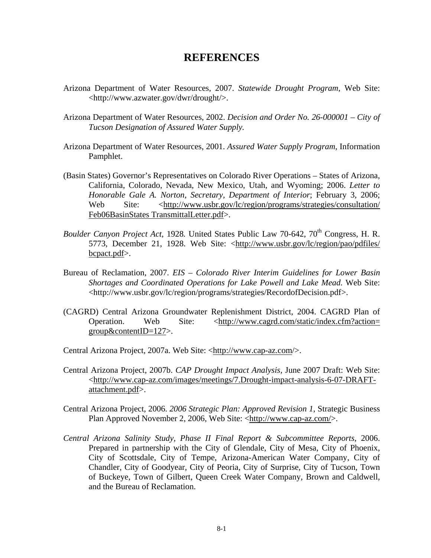## **REFERENCES**

- Arizona Department of Water Resources, 2007. *Statewide Drought Program*, Web Site: <[http://www.azwater.gov/dwr/drought/>](http://www.azwater.gov/dwr/drought/).
- Arizona Department of Water Resources, 2002. *Decision and Order No. 26-000001 City of Tucson Designation of Assured Water Supply.*
- Arizona Department of Water Resources, 2001. *Assured Water Supply Program*, Information Pamphlet.
- (Basin States) Governor's Representatives on Colorado River Operations States of Arizona, California, Colorado, Nevada, New Mexico, Utah, and Wyoming; 2006. *Letter to Honorable Gale A. Norton, Secretary, Department of Interior*; February 3, 2006; Web Site: [<http://www.usbr.gov/lc/region/programs/strategies/consultation/](http://www.usbr.gov/lc/region/programs/strategies/consultation/%20Feb06BasinStates%20TransmittalLetter.pdf)  [Feb06BasinStates TransmittalLetter.pdf>](http://www.usbr.gov/lc/region/programs/strategies/consultation/%20Feb06BasinStates%20TransmittalLetter.pdf).
- *Boulder Canyon Project Act*, 1928. United States Public Law 70-642, 70<sup>th</sup> Congress, H. R. 5773, December 21, 1928. Web Site: <http://www.usbr.gov/lc/region/pao/pdfiles/ bcpact.pdf>.
- Bureau of Reclamation, 2007. *EIS Colorado River Interim Guidelines for Lower Basin Shortages and Coordinated Operations for Lake Powell and Lake Mead*. Web Site: <http://www.usbr.gov/lc/region/programs/strategies/RecordofDecision.pdf>.
- (CAGRD) Central Arizona Groundwater Replenishment District, 2004. CAGRD Plan of Operation. Web Site: <http://www.cagrd.com/static/index.cfm?action= group&contentID=127>.
- Central Arizona Project, 2007a. Web Site: <http://www.cap-az.com/>.
- Central Arizona Project, 2007b. *CAP Drought Impact Analysis,* June 2007 Draft: Web Site: <http://www.cap-az.com/images/meetings/7.Drought-impact-analysis-6-07-DRAFTattachment.pdf>.
- Central Arizona Project, 2006. *2006 Strategic Plan: Approved Revision 1*, Strategic Business Plan Approved November 2, 2006, Web Site: [<http://www.cap-az.com/](http://www.cap-az.com/)>.
- *Central Arizona Salinity Study, Phase II Final Report & Subcommittee Reports,* 2006. Prepared in partnership with the City of Glendale, City of Mesa, City of Phoenix, City of Scottsdale, City of Tempe, Arizona-American Water Company, City of Chandler, City of Goodyear, City of Peoria, City of Surprise, City of Tucson, Town of Buckeye, Town of Gilbert, Queen Creek Water Company, Brown and Caldwell, and the Bureau of Reclamation.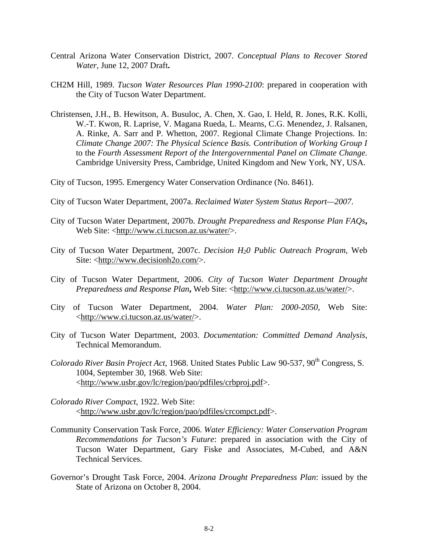- Central Arizona Water Conservation District, 2007. *Conceptual Plans to Recover Stored Water*, June 12, 2007 Draft**.**
- CH2M Hill, 1989. *Tucson Water Resources Plan 1990-2100*: prepared in cooperation with the City of Tucson Water Department.
- Christensen, J.H., B. Hewitson, A. Busuloc, A. Chen, X. Gao, I. Held, R. Jones, R.K. Kolli, W.-T. Kwon, R. Laprise, V. Magana Rueda, L. Mearns, C.G. Menendez, J. Ralsanen, A. Rinke, A. Sarr and P. Whetton, 2007. Regional Climate Change Projections. In: *Climate Change 2007: The Physical Science Basis. Contribution of Working Group I*  to the *Fourth Assessment Report of the Intergovernmental Panel on Climate Change.*  Cambridge University Press, Cambridge, United Kingdom and New York, NY, USA.

City of Tucson, 1995. Emergency Water Conservation Ordinance (No. 8461).

- City of Tucson Water Department, 2007a. *Reclaimed Water System Status Report—2007*.
- City of Tucson Water Department, 2007b. *Drought Preparedness and Response Plan FAQs***,** Web Site: <http://www.ci.tucson.az.us/water/>.
- City of Tucson Water Department, 2007c. *Decision H20 Public Outreach Program*, Web Site: <http://www.decisionh2o.com/>.
- City of Tucson Water Department, 2006. *City of Tucson Water Department Drought Preparedness and Response Plan***,** Web Site: <http://www.ci.tucson.az.us/water/>.
- City of Tucson Water Department, 2004. *Water Plan: 2000-2050*, Web Site: <http://www.ci.tucson.az.us/water/>.
- City of Tucson Water Department, 2003. *Documentation: Committed Demand Analysis,*  Technical Memorandum.
- Colorado River Basin Project Act, 1968. United States Public Law 90-537, 90<sup>th</sup> Congress, S. 1004, September 30, 1968. Web Site: < http://www.usbr.gov/lc/region/pao/pdfiles/crbproj.pdf>.
- *Colorado River Compact*, 1922. Web Site: <http://www.usbr.gov/lc/region/pao/pdfiles/crcompct.pdf>.
- Community Conservation Task Force, 2006. *Water Efficiency: Water Conservation Program Recommendations for Tucson's Future*: prepared in association with the City of Tucson Water Department, Gary Fiske and Associates, M-Cubed, and A&N Technical Services.
- Governor's Drought Task Force, 2004. *Arizona Drought Preparedness Plan*: issued by the State of Arizona on October 8, 2004.